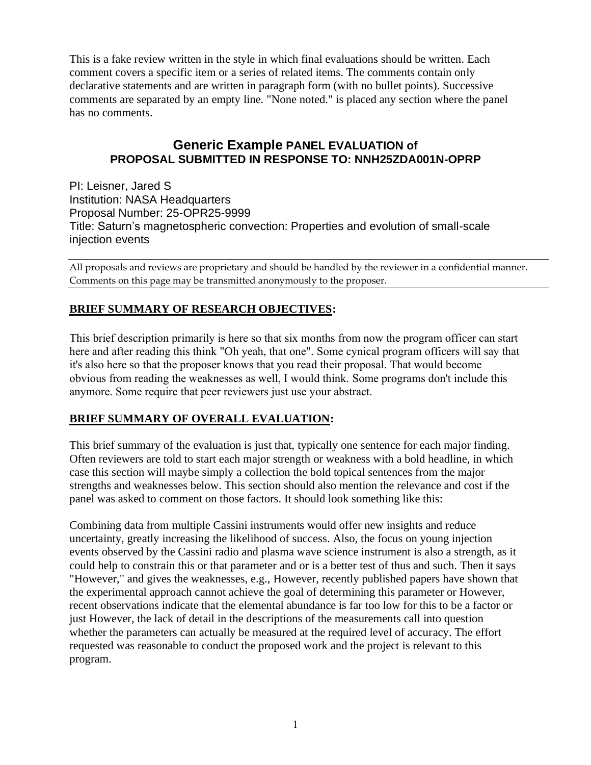This is a fake review written in the style in which final evaluations should be written. Each comment covers a specific item or a series of related items. The comments contain only declarative statements and are written in paragraph form (with no bullet points). Successive comments are separated by an empty line. "None noted." is placed any section where the panel has no comments.

## **Generic Example PANEL EVALUATION of PROPOSAL SUBMITTED IN RESPONSE TO: NNH25ZDA001N-OPRP**

PI: Leisner, Jared S Institution: NASA Headquarters Proposal Number: 25-OPR25-9999 Title: Saturn's magnetospheric convection: Properties and evolution of small-scale injection events

All proposals and reviews are proprietary and should be handled by the reviewer in a confidential manner. Comments on this page may be transmitted anonymously to the proposer.

## **BRIEF SUMMARY OF RESEARCH OBJECTIVES:**

This brief description primarily is here so that six months from now the program officer can start here and after reading this think "Oh yeah, that one". Some cynical program officers will say that it's also here so that the proposer knows that you read their proposal. That would become obvious from reading the weaknesses as well, I would think. Some programs don't include this anymore. Some require that peer reviewers just use your abstract.

## **BRIEF SUMMARY OF OVERALL EVALUATION:**

This brief summary of the evaluation is just that, typically one sentence for each major finding. Often reviewers are told to start each major strength or weakness with a bold headline, in which case this section will maybe simply a collection the bold topical sentences from the major strengths and weaknesses below. This section should also mention the relevance and cost if the panel was asked to comment on those factors. It should look something like this:

Combining data from multiple Cassini instruments would offer new insights and reduce uncertainty, greatly increasing the likelihood of success. Also, the focus on young injection events observed by the Cassini radio and plasma wave science instrument is also a strength, as it could help to constrain this or that parameter and or is a better test of thus and such. Then it says "However," and gives the weaknesses, e.g., However, recently published papers have shown that the experimental approach cannot achieve the goal of determining this parameter or However, recent observations indicate that the elemental abundance is far too low for this to be a factor or just However, the lack of detail in the descriptions of the measurements call into question whether the parameters can actually be measured at the required level of accuracy. The effort requested was reasonable to conduct the proposed work and the project is relevant to this program.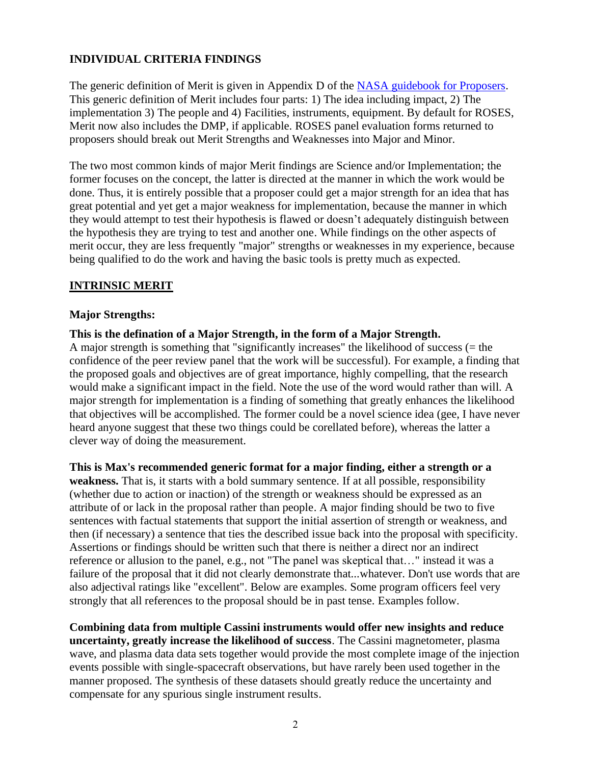## **INDIVIDUAL CRITERIA FINDINGS**

The generic definition of Merit is given in Appendix D of the [NASA guidebook for Proposers.](https://www.nasa.gov/offices/ocfo/gpc/regulations_and_guidance) This generic definition of Merit includes four parts: 1) The idea including impact, 2) The implementation 3) The people and 4) Facilities, instruments, equipment. By default for ROSES, Merit now also includes the DMP, if applicable. ROSES panel evaluation forms returned to proposers should break out Merit Strengths and Weaknesses into Major and Minor.

The two most common kinds of major Merit findings are Science and/or Implementation; the former focuses on the concept, the latter is directed at the manner in which the work would be done. Thus, it is entirely possible that a proposer could get a major strength for an idea that has great potential and yet get a major weakness for implementation, because the manner in which they would attempt to test their hypothesis is flawed or doesn't adequately distinguish between the hypothesis they are trying to test and another one. While findings on the other aspects of merit occur, they are less frequently "major" strengths or weaknesses in my experience, because being qualified to do the work and having the basic tools is pretty much as expected.

#### **INTRINSIC MERIT**

#### **Major Strengths:**

**This is the defination of a Major Strength, in the form of a Major Strength.**

A major strength is something that "significantly increases" the likelihood of success (= the confidence of the peer review panel that the work will be successful). For example, a finding that the proposed goals and objectives are of great importance, highly compelling, that the research would make a significant impact in the field. Note the use of the word would rather than will. A major strength for implementation is a finding of something that greatly enhances the likelihood that objectives will be accomplished. The former could be a novel science idea (gee, I have never heard anyone suggest that these two things could be corellated before), whereas the latter a clever way of doing the measurement.

**This is Max's recommended generic format for a major finding, either a strength or a weakness.** That is, it starts with a bold summary sentence. If at all possible, responsibility (whether due to action or inaction) of the strength or weakness should be expressed as an attribute of or lack in the proposal rather than people. A major finding should be two to five sentences with factual statements that support the initial assertion of strength or weakness, and then (if necessary) a sentence that ties the described issue back into the proposal with specificity. Assertions or findings should be written such that there is neither a direct nor an indirect reference or allusion to the panel, e.g., not "The panel was skeptical that…" instead it was a failure of the proposal that it did not clearly demonstrate that...whatever. Don't use words that are also adjectival ratings like "excellent". Below are examples. Some program officers feel very strongly that all references to the proposal should be in past tense. Examples follow.

**Combining data from multiple Cassini instruments would offer new insights and reduce uncertainty, greatly increase the likelihood of success**. The Cassini magnetometer, plasma wave, and plasma data data sets together would provide the most complete image of the injection events possible with single-spacecraft observations, but have rarely been used together in the manner proposed. The synthesis of these datasets should greatly reduce the uncertainty and compensate for any spurious single instrument results.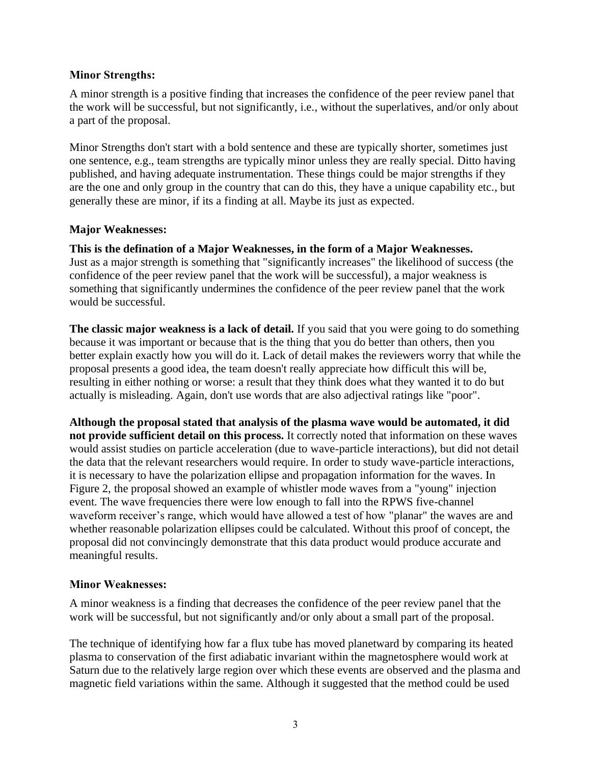#### **Minor Strengths:**

A minor strength is a positive finding that increases the confidence of the peer review panel that the work will be successful, but not significantly, i.e., without the superlatives, and/or only about a part of the proposal.

Minor Strengths don't start with a bold sentence and these are typically shorter, sometimes just one sentence, e.g., team strengths are typically minor unless they are really special. Ditto having published, and having adequate instrumentation. These things could be major strengths if they are the one and only group in the country that can do this, they have a unique capability etc., but generally these are minor, if its a finding at all. Maybe its just as expected.

#### **Major Weaknesses:**

would be successful.

**This is the defination of a Major Weaknesses, in the form of a Major Weaknesses.** Just as a major strength is something that "significantly increases" the likelihood of success (the confidence of the peer review panel that the work will be successful), a major weakness is something that significantly undermines the confidence of the peer review panel that the work

**The classic major weakness is a lack of detail.** If you said that you were going to do something because it was important or because that is the thing that you do better than others, then you better explain exactly how you will do it. Lack of detail makes the reviewers worry that while the proposal presents a good idea, the team doesn't really appreciate how difficult this will be, resulting in either nothing or worse: a result that they think does what they wanted it to do but actually is misleading. Again, don't use words that are also adjectival ratings like "poor".

**Although the proposal stated that analysis of the plasma wave would be automated, it did not provide sufficient detail on this process.** It correctly noted that information on these waves would assist studies on particle acceleration (due to wave-particle interactions), but did not detail the data that the relevant researchers would require. In order to study wave-particle interactions, it is necessary to have the polarization ellipse and propagation information for the waves. In Figure 2, the proposal showed an example of whistler mode waves from a "young" injection event. The wave frequencies there were low enough to fall into the RPWS five-channel waveform receiver's range, which would have allowed a test of how "planar" the waves are and whether reasonable polarization ellipses could be calculated. Without this proof of concept, the proposal did not convincingly demonstrate that this data product would produce accurate and meaningful results.

## **Minor Weaknesses:**

A minor weakness is a finding that decreases the confidence of the peer review panel that the work will be successful, but not significantly and/or only about a small part of the proposal.

The technique of identifying how far a flux tube has moved planetward by comparing its heated plasma to conservation of the first adiabatic invariant within the magnetosphere would work at Saturn due to the relatively large region over which these events are observed and the plasma and magnetic field variations within the same. Although it suggested that the method could be used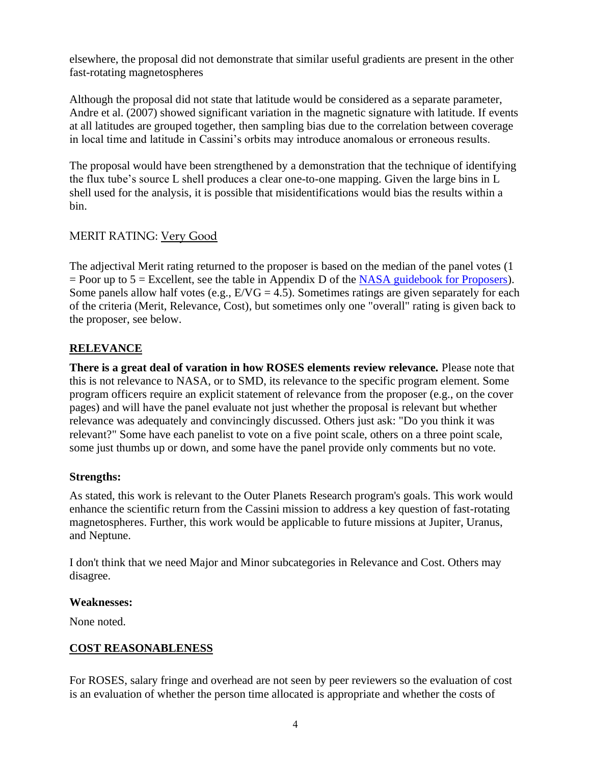elsewhere, the proposal did not demonstrate that similar useful gradients are present in the other fast-rotating magnetospheres

Although the proposal did not state that latitude would be considered as a separate parameter, Andre et al. (2007) showed significant variation in the magnetic signature with latitude. If events at all latitudes are grouped together, then sampling bias due to the correlation between coverage in local time and latitude in Cassini's orbits may introduce anomalous or erroneous results.

The proposal would have been strengthened by a demonstration that the technique of identifying the flux tube's source L shell produces a clear one-to-one mapping. Given the large bins in L shell used for the analysis, it is possible that misidentifications would bias the results within a bin.

## MERIT RATING: Very Good

The adjectival Merit rating returned to the proposer is based on the median of the panel votes (1  $=$  Poor up to 5  $=$  Excellent, see the table in Appendix D of the [NASA guidebook for Proposers\)](https://www.nasa.gov/offices/ocfo/gpc/regulations_and_guidance). Some panels allow half votes (e.g.,  $E/VG = 4.5$ ). Sometimes ratings are given separately for each of the criteria (Merit, Relevance, Cost), but sometimes only one "overall" rating is given back to the proposer, see below.

## **RELEVANCE**

**There is a great deal of varation in how ROSES elements review relevance.** Please note that this is not relevance to NASA, or to SMD, its relevance to the specific program element. Some program officers require an explicit statement of relevance from the proposer (e.g., on the cover pages) and will have the panel evaluate not just whether the proposal is relevant but whether relevance was adequately and convincingly discussed. Others just ask: "Do you think it was relevant?" Some have each panelist to vote on a five point scale, others on a three point scale, some just thumbs up or down, and some have the panel provide only comments but no vote.

## **Strengths:**

As stated, this work is relevant to the Outer Planets Research program's goals. This work would enhance the scientific return from the Cassini mission to address a key question of fast-rotating magnetospheres. Further, this work would be applicable to future missions at Jupiter, Uranus, and Neptune.

I don't think that we need Major and Minor subcategories in Relevance and Cost. Others may disagree.

#### **Weaknesses:**

None noted.

## **COST REASONABLENESS**

For ROSES, salary fringe and overhead are not seen by peer reviewers so the evaluation of cost is an evaluation of whether the person time allocated is appropriate and whether the costs of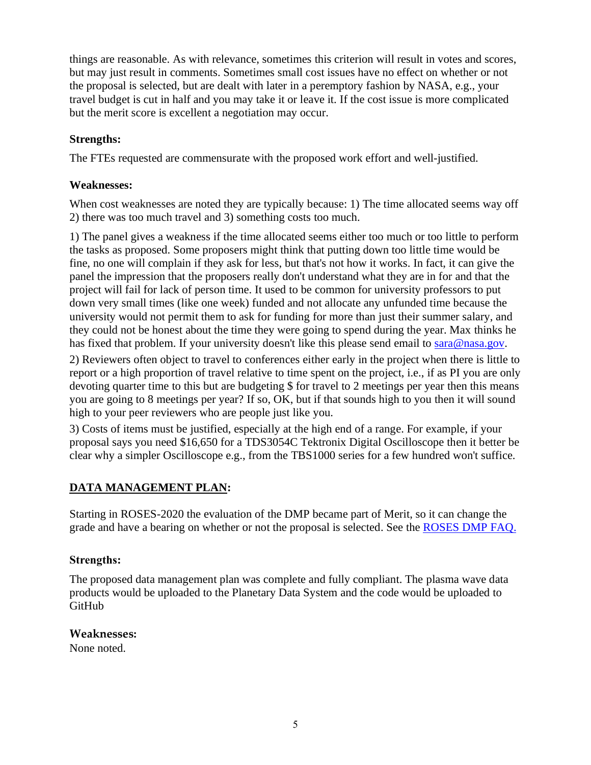things are reasonable. As with relevance, sometimes this criterion will result in votes and scores, but may just result in comments. Sometimes small cost issues have no effect on whether or not the proposal is selected, but are dealt with later in a peremptory fashion by NASA, e.g., your travel budget is cut in half and you may take it or leave it. If the cost issue is more complicated but the merit score is excellent a negotiation may occur.

## **Strengths:**

The FTEs requested are commensurate with the proposed work effort and well-justified.

## **Weaknesses:**

When cost weaknesses are noted they are typically because: 1) The time allocated seems way off 2) there was too much travel and 3) something costs too much.

1) The panel gives a weakness if the time allocated seems either too much or too little to perform the tasks as proposed. Some proposers might think that putting down too little time would be fine, no one will complain if they ask for less, but that's not how it works. In fact, it can give the panel the impression that the proposers really don't understand what they are in for and that the project will fail for lack of person time. It used to be common for university professors to put down very small times (like one week) funded and not allocate any unfunded time because the university would not permit them to ask for funding for more than just their summer salary, and they could not be honest about the time they were going to spend during the year. Max thinks he has fixed that problem. If your university doesn't like this please send email to [sara@nasa.gov.](mailto:sara@nasa.gov)

2) Reviewers often object to travel to conferences either early in the project when there is little to report or a high proportion of travel relative to time spent on the project, i.e., if as PI you are only devoting quarter time to this but are budgeting \$ for travel to 2 meetings per year then this means you are going to 8 meetings per year? If so, OK, but if that sounds high to you then it will sound high to your peer reviewers who are people just like you.

3) Costs of items must be justified, especially at the high end of a range. For example, if your proposal says you need \$16,650 for a TDS3054C Tektronix Digital Oscilloscope then it better be clear why a simpler Oscilloscope e.g., from the TBS1000 series for a few hundred won't suffice.

## **DATA MANAGEMENT PLAN:**

Starting in ROSES-2020 the evaluation of the DMP became part of Merit, so it can change the grade and have a bearing on whether or not the proposal is selected. See the [ROSES DMP](https://science.nasa.gov/researchers/sara/faqs/dmp-faq-roses/) FAQ.

## **Strengths:**

The proposed data management plan was complete and fully compliant. The plasma wave data products would be uploaded to the Planetary Data System and the code would be uploaded to GitHub

## **Weaknesses:**

None noted.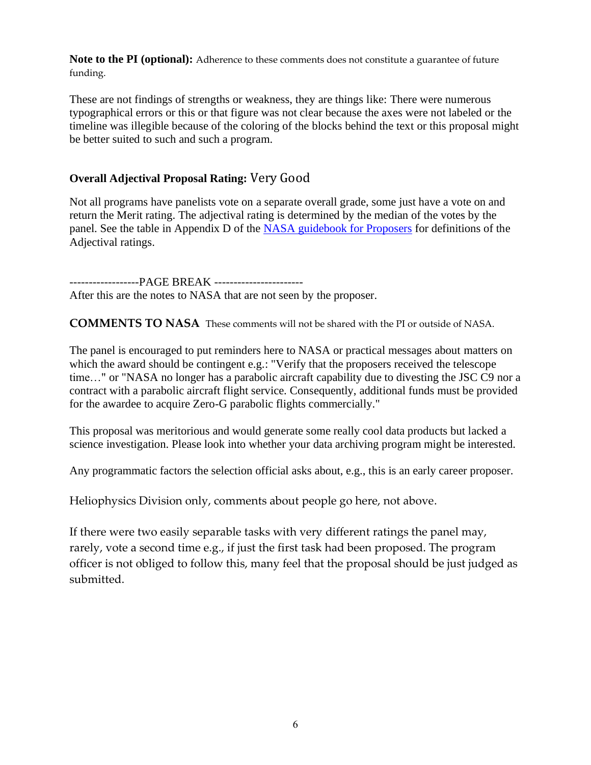**Note to the PI (optional):** Adherence to these comments does not constitute a guarantee of future funding.

These are not findings of strengths or weakness, they are things like: There were numerous typographical errors or this or that figure was not clear because the axes were not labeled or the timeline was illegible because of the coloring of the blocks behind the text or this proposal might be better suited to such and such a program.

## **Overall Adjectival Proposal Rating:** Very Good

Not all programs have panelists vote on a separate overall grade, some just have a vote on and return the Merit rating. The adjectival rating is determined by the median of the votes by the panel. See the table in Appendix D of the [NASA guidebook for Proposers](https://www.nasa.gov/offices/ocfo/gpc/regulations_and_guidance) for definitions of the Adjectival ratings.

------------------PAGE BREAK ----------------------- After this are the notes to NASA that are not seen by the proposer.

**COMMENTS TO NASA** These comments will not be shared with the PI or outside of NASA.

The panel is encouraged to put reminders here to NASA or practical messages about matters on which the award should be contingent e.g.: "Verify that the proposers received the telescope time…" or "NASA no longer has a parabolic aircraft capability due to divesting the JSC C9 nor a contract with a parabolic aircraft flight service. Consequently, additional funds must be provided for the awardee to acquire Zero-G parabolic flights commercially."

This proposal was meritorious and would generate some really cool data products but lacked a science investigation. Please look into whether your data archiving program might be interested.

Any programmatic factors the selection official asks about, e.g., this is an early career proposer.

Heliophysics Division only, comments about people go here, not above.

If there were two easily separable tasks with very different ratings the panel may, rarely, vote a second time e.g., if just the first task had been proposed. The program officer is not obliged to follow this, many feel that the proposal should be just judged as submitted.